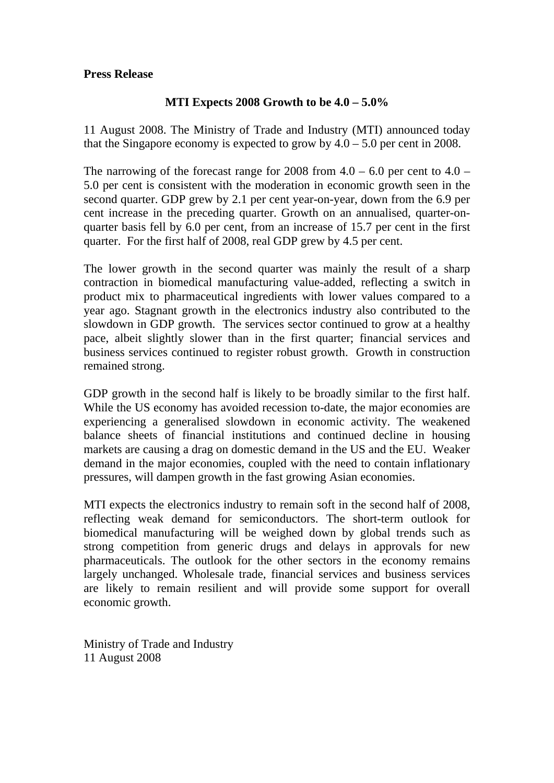### **Press Release**

### **MTI Expects 2008 Growth to be 4.0 – 5.0%**

11 August 2008. The Ministry of Trade and Industry (MTI) announced today that the Singapore economy is expected to grow by  $4.0 - 5.0$  per cent in 2008.

The narrowing of the forecast range for 2008 from  $4.0 - 6.0$  per cent to  $4.0 -$ 5.0 per cent is consistent with the moderation in economic growth seen in the second quarter. GDP grew by 2.1 per cent year-on-year, down from the 6.9 per cent increase in the preceding quarter. Growth on an annualised, quarter-onquarter basis fell by 6.0 per cent, from an increase of 15.7 per cent in the first quarter. For the first half of 2008, real GDP grew by 4.5 per cent.

The lower growth in the second quarter was mainly the result of a sharp contraction in biomedical manufacturing value-added, reflecting a switch in product mix to pharmaceutical ingredients with lower values compared to a year ago. Stagnant growth in the electronics industry also contributed to the slowdown in GDP growth. The services sector continued to grow at a healthy pace, albeit slightly slower than in the first quarter; financial services and business services continued to register robust growth. Growth in construction remained strong.

GDP growth in the second half is likely to be broadly similar to the first half. While the US economy has avoided recession to-date, the major economies are experiencing a generalised slowdown in economic activity. The weakened balance sheets of financial institutions and continued decline in housing markets are causing a drag on domestic demand in the US and the EU. Weaker demand in the major economies, coupled with the need to contain inflationary pressures, will dampen growth in the fast growing Asian economies.

MTI expects the electronics industry to remain soft in the second half of 2008, reflecting weak demand for semiconductors. The short-term outlook for biomedical manufacturing will be weighed down by global trends such as strong competition from generic drugs and delays in approvals for new pharmaceuticals. The outlook for the other sectors in the economy remains largely unchanged. Wholesale trade, financial services and business services are likely to remain resilient and will provide some support for overall economic growth.

Ministry of Trade and Industry 11 August 2008